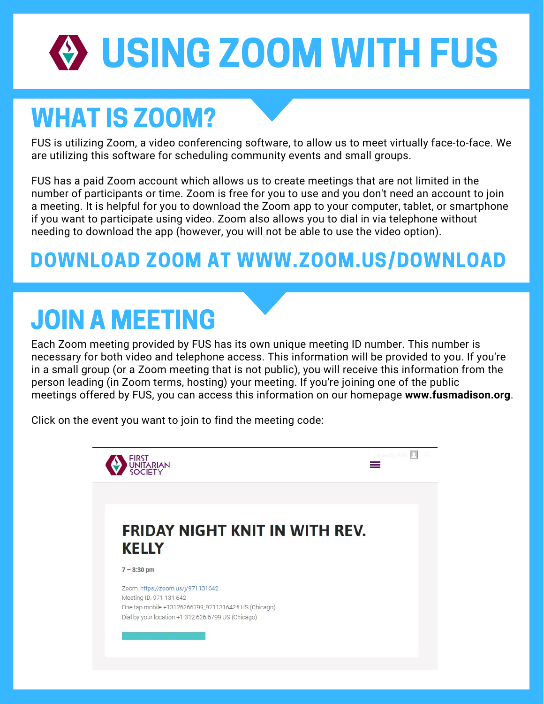# USING ZOOM WITH FUS

### WHAT IS ZOOM?

FUS is utilizing Zoom, a video conferencing software, to allow us to meet virtually face-to-face. We are utilizing this software for scheduling community events and small groups.

FUS has a paid Zoom account which allows us to create meetings that are not limited in the number of participants or time. Zoom is free for you to use and you don't need an account to join a meeting. It is helpful for you to download the Zoom app to your computer, tablet, or smartphone if you want to participate using video. Zoom also allows you to dial in via telephone without needing to download the app (however, you will not be able to use the video option).

#### DOWNLOAD ZOOM AT WWW.ZOOM.US/DOWNLOAD

# JOIN A MEETING

Each Zoom meeting provided by FUS has its own unique meeting ID number. This number is necessary for both video and telephone access. This information will be provided to you. If you're in a small group (or a Zoom meeting that is not public), you will receive this information from the person leading (in Zoom terms, hosting) your meeting. If you're joining one of the public meetings offered by FUS, you can access this information on our homepage **www.fusmadison.org**.

Click on the event you want to join to find the meeting code:

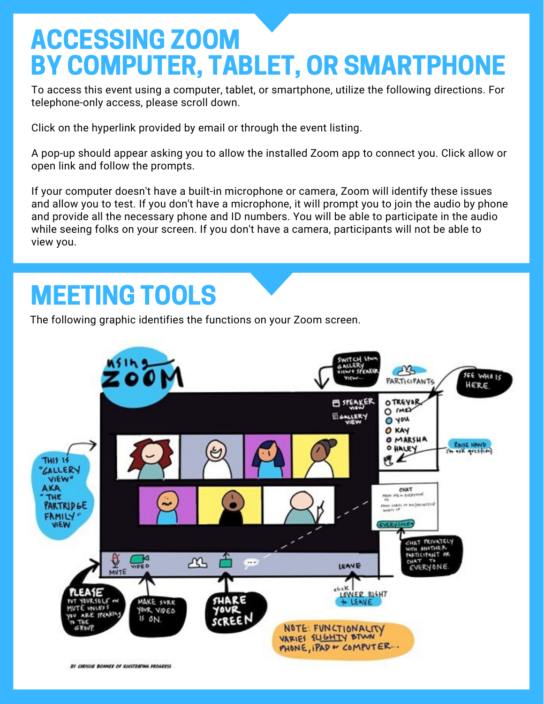### ACCESSING ZOOM BY COMPUTER, TABLET, OR SMARTPHONE

To access this event using a computer, tablet, or smartphone, utilize the following directions. For telephone-only access, please scroll down.

Click on the hyperlink provided by email or through the event listing.

A pop-up should appear asking you to allow the installed Zoom app to connect you. Click allow or open link and follow the prompts.

If your computer doesn't have a built-in microphone or camera, Zoom will identify these issues and allow you to test. If you don't have a microphone, it will prompt you to join the audio by phone and provide all the necessary phone and ID numbers. You will be able to participate in the audio while seeing folks on your screen. If you don't have a camera, participants will not be able to view you.

#### MEETING TOOLS

The following graphic identifies the functions on your Zoom screen.